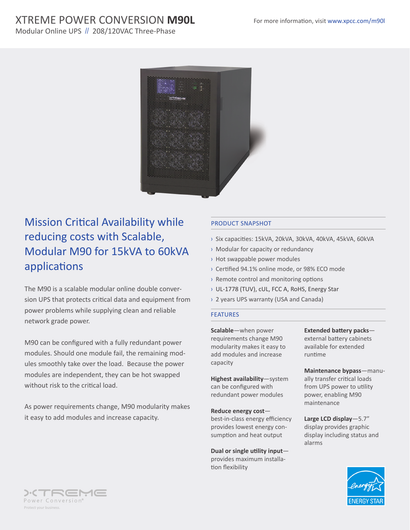# XTREME POWER CONVERSION **M90L**

Modular Online UPS // 208/120VAC Three-Phase



# Mission Critical Availability while reducing costs with Scalable, Modular M90 for 15kVA to 60kVA applications

The M90 is a scalable modular online double conversion UPS that protects critical data and equipment from power problems while supplying clean and reliable network grade power.

M90 can be configured with a fully redundant power modules. Should one module fail, the remaining modules smoothly take over the load. Because the power modules are independent, they can be hot swapped without risk to the critical load.

As power requirements change, M90 modularity makes it easy to add modules and increase capacity.

## PRODUCT SNAPSHOT

- › Six capacities: 15kVA, 20kVA, 30kVA, 40kVA, 45kVA, 60kVA
- › Modular for capacity or redundancy
- › Hot swappable power modules
- › Certified 94.1% online mode, or 98% ECO mode
- › Remote control and monitoring options
- › UL-1778 (TUV), cUL, FCC A, RoHS, Energy Star
- › 2 years UPS warranty (USA and Canada)

#### FEATURES

**Scalable**—when power requirements change M90 modularity makes it easy to add modules and increase capacity

**Highest availability**—system can be configured with redundant power modules

**Reduce energy cost** best-in-class energy efficiency provides lowest energy consumption and heat output

**Dual or single utility input** provides maximum installation flexibility

**Extended battery packs** external battery cabinets available for extended runtime

**Maintenance bypass**—manually transfer critical loads from UPS power to utility power, enabling M90 maintenance

**Large LCD display**—5.7" display provides graphic display including status and alarms